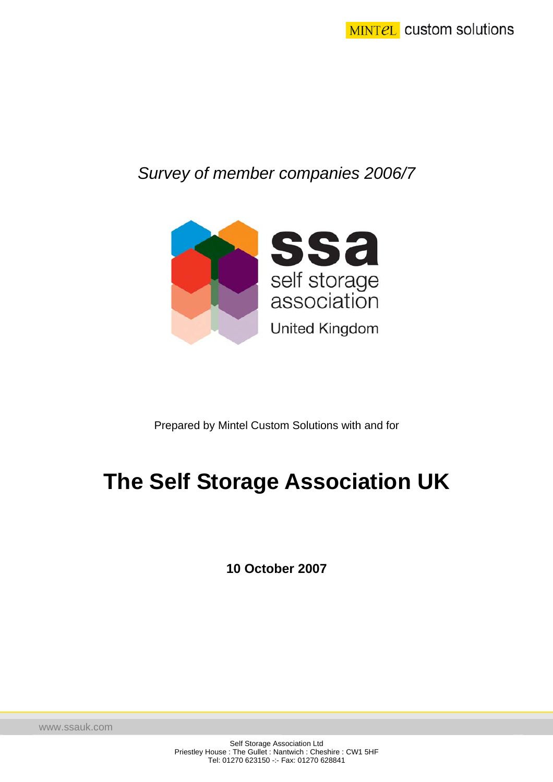# *Survey of member companies 2006/7*



Prepared by Mintel Custom Solutions with and for

# **The Self Storage Association UK**

**10 October 2007** 

www.ssauk.com

Self Storage Association Ltd Priestley House : The Gullet : Nantwich : Cheshire : CW1 5HF Tel: 01270 623150 -:- Fax: 01270 628841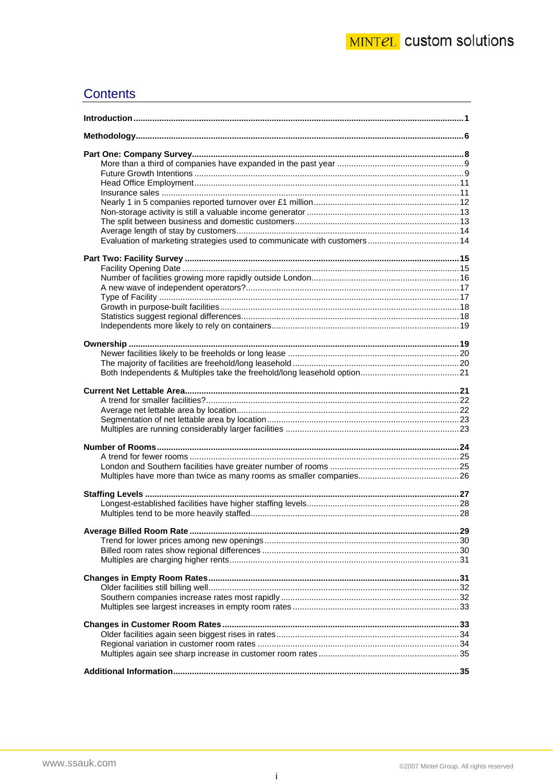# **Contents**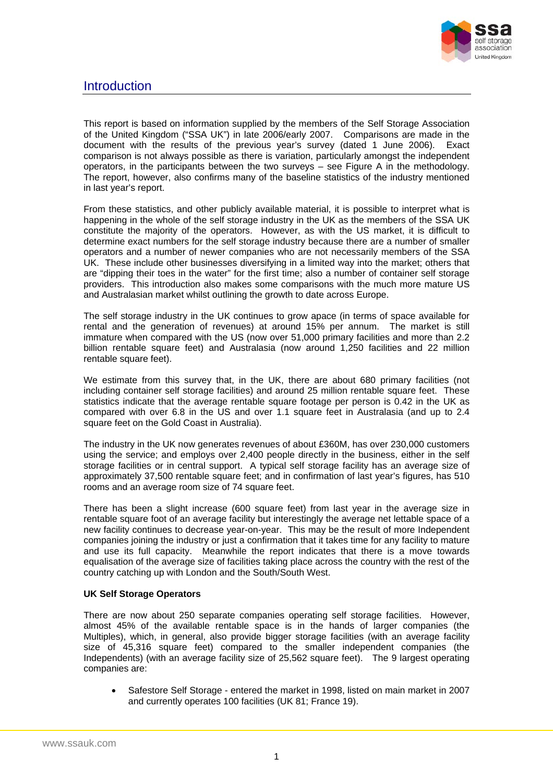

### <span id="page-2-0"></span>**Introduction**

This report is based on information supplied by the members of the Self Storage Association of the United Kingdom ("SSA UK") in late 2006/early 2007. Comparisons are made in the document with the results of the previous year's survey (dated 1 June 2006). Exact comparison is not always possible as there is variation, particularly amongst the independent operators, in the participants between the two surveys – see Figure A in the methodology. The report, however, also confirms many of the baseline statistics of the industry mentioned in last year's report.

From these statistics, and other publicly available material, it is possible to interpret what is happening in the whole of the self storage industry in the UK as the members of the SSA UK constitute the majority of the operators. However, as with the US market, it is difficult to determine exact numbers for the self storage industry because there are a number of smaller operators and a number of newer companies who are not necessarily members of the SSA UK. These include other businesses diversifying in a limited way into the market; others that are "dipping their toes in the water" for the first time; also a number of container self storage providers. This introduction also makes some comparisons with the much more mature US and Australasian market whilst outlining the growth to date across Europe.

The self storage industry in the UK continues to grow apace (in terms of space available for rental and the generation of revenues) at around 15% per annum. The market is still immature when compared with the US (now over 51,000 primary facilities and more than 2.2 billion rentable square feet) and Australasia (now around 1,250 facilities and 22 million rentable square feet).

We estimate from this survey that, in the UK, there are about 680 primary facilities (not including container self storage facilities) and around 25 million rentable square feet. These statistics indicate that the average rentable square footage per person is 0.42 in the UK as compared with over 6.8 in the US and over 1.1 square feet in Australasia (and up to 2.4 square feet on the Gold Coast in Australia).

The industry in the UK now generates revenues of about £360M, has over 230,000 customers using the service; and employs over 2,400 people directly in the business, either in the self storage facilities or in central support. A typical self storage facility has an average size of approximately 37,500 rentable square feet; and in confirmation of last year's figures, has 510 rooms and an average room size of 74 square feet.

There has been a slight increase (600 square feet) from last year in the average size in rentable square foot of an average facility but interestingly the average net lettable space of a new facility continues to decrease year-on-year. This may be the result of more Independent companies joining the industry or just a confirmation that it takes time for any facility to mature and use its full capacity. Meanwhile the report indicates that there is a move towards equalisation of the average size of facilities taking place across the country with the rest of the country catching up with London and the South/South West.

#### **UK Self Storage Operators**

There are now about 250 separate companies operating self storage facilities. However, almost 45% of the available rentable space is in the hands of larger companies (the Multiples), which, in general, also provide bigger storage facilities (with an average facility size of 45,316 square feet) compared to the smaller independent companies (the Independents) (with an average facility size of 25,562 square feet). The 9 largest operating companies are:

• Safestore Self Storage - entered the market in 1998, listed on main market in 2007 and currently operates 100 facilities (UK 81; France 19).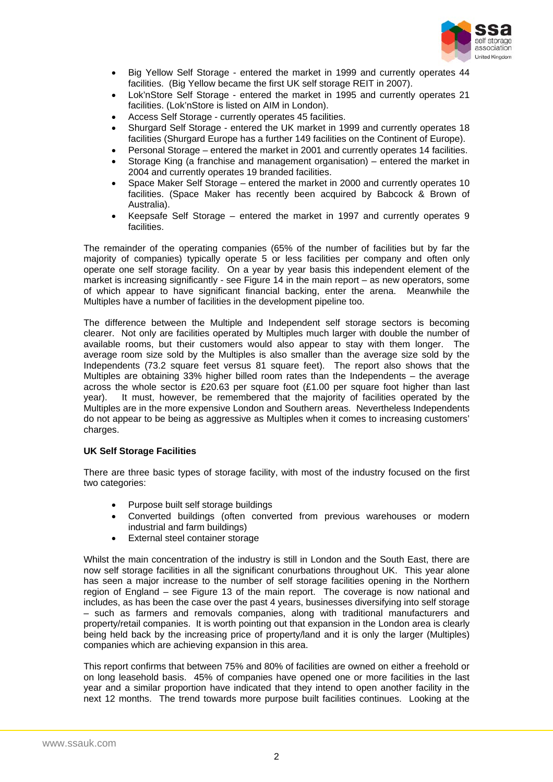

- Big Yellow Self Storage entered the market in 1999 and currently operates 44 facilities. (Big Yellow became the first UK self storage REIT in 2007).
- Lok'nStore Self Storage entered the market in 1995 and currently operates 21 facilities. (Lok'nStore is listed on AIM in London).
- Access Self Storage currently operates 45 facilities.
- Shurgard Self Storage entered the UK market in 1999 and currently operates 18 facilities (Shurgard Europe has a further 149 facilities on the Continent of Europe).
- Personal Storage entered the market in 2001 and currently operates 14 facilities.
- Storage King (a franchise and management organisation) entered the market in 2004 and currently operates 19 branded facilities.
- Space Maker Self Storage entered the market in 2000 and currently operates 10 facilities. (Space Maker has recently been acquired by Babcock & Brown of Australia).
- Keepsafe Self Storage entered the market in 1997 and currently operates 9 facilities.

The remainder of the operating companies (65% of the number of facilities but by far the majority of companies) typically operate 5 or less facilities per company and often only operate one self storage facility. On a year by year basis this independent element of the market is increasing significantly - see Figure 14 in the main report – as new operators, some of which appear to have significant financial backing, enter the arena. Meanwhile the Multiples have a number of facilities in the development pipeline too.

The difference between the Multiple and Independent self storage sectors is becoming clearer. Not only are facilities operated by Multiples much larger with double the number of available rooms, but their customers would also appear to stay with them longer. The average room size sold by the Multiples is also smaller than the average size sold by the Independents (73.2 square feet versus 81 square feet). The report also shows that the Multiples are obtaining 33% higher billed room rates than the Independents – the average across the whole sector is £20.63 per square foot  $(E1.00$  per square foot higher than last year). It must, however, be remembered that the majority of facilities operated by the Multiples are in the more expensive London and Southern areas. Nevertheless Independents do not appear to be being as aggressive as Multiples when it comes to increasing customers' charges.

#### **UK Self Storage Facilities**

There are three basic types of storage facility, with most of the industry focused on the first two categories:

- Purpose built self storage buildings
- Converted buildings (often converted from previous warehouses or modern industrial and farm buildings)
- External steel container storage

Whilst the main concentration of the industry is still in London and the South East, there are now self storage facilities in all the significant conurbations throughout UK. This year alone has seen a major increase to the number of self storage facilities opening in the Northern region of England – see Figure 13 of the main report. The coverage is now national and includes, as has been the case over the past 4 years, businesses diversifying into self storage – such as farmers and removals companies, along with traditional manufacturers and property/retail companies. It is worth pointing out that expansion in the London area is clearly being held back by the increasing price of property/land and it is only the larger (Multiples) companies which are achieving expansion in this area.

This report confirms that between 75% and 80% of facilities are owned on either a freehold or on long leasehold basis. 45% of companies have opened one or more facilities in the last year and a similar proportion have indicated that they intend to open another facility in the next 12 months. The trend towards more purpose built facilities continues. Looking at the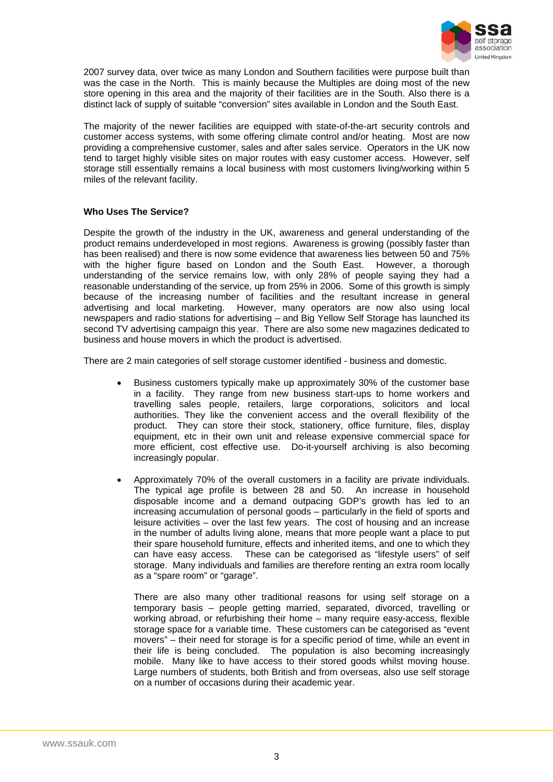

2007 survey data, over twice as many London and Southern facilities were purpose built than was the case in the North. This is mainly because the Multiples are doing most of the new store opening in this area and the majority of their facilities are in the South. Also there is a distinct lack of supply of suitable "conversion" sites available in London and the South East.

The majority of the newer facilities are equipped with state-of-the-art security controls and customer access systems, with some offering climate control and/or heating. Most are now providing a comprehensive customer, sales and after sales service. Operators in the UK now tend to target highly visible sites on major routes with easy customer access. However, self storage still essentially remains a local business with most customers living/working within 5 miles of the relevant facility.

#### **Who Uses The Service?**

Despite the growth of the industry in the UK, awareness and general understanding of the product remains underdeveloped in most regions. Awareness is growing (possibly faster than has been realised) and there is now some evidence that awareness lies between 50 and 75% with the higher figure based on London and the South East. However, a thorough understanding of the service remains low, with only 28% of people saying they had a reasonable understanding of the service, up from 25% in 2006. Some of this growth is simply because of the increasing number of facilities and the resultant increase in general advertising and local marketing. However, many operators are now also using local newspapers and radio stations for advertising – and Big Yellow Self Storage has launched its second TV advertising campaign this year. There are also some new magazines dedicated to business and house movers in which the product is advertised.

There are 2 main categories of self storage customer identified - business and domestic.

- Business customers typically make up approximately 30% of the customer base in a facility. They range from new business start-ups to home workers and travelling sales people, retailers, large corporations, solicitors and local authorities. They like the convenient access and the overall flexibility of the product. They can store their stock, stationery, office furniture, files, display equipment, etc in their own unit and release expensive commercial space for more efficient, cost effective use. Do-it-yourself archiving is also becoming increasingly popular.
- Approximately 70% of the overall customers in a facility are private individuals. The typical age profile is between 28 and 50. An increase in household disposable income and a demand outpacing GDP's growth has led to an increasing accumulation of personal goods – particularly in the field of sports and leisure activities – over the last few years. The cost of housing and an increase in the number of adults living alone, means that more people want a place to put their spare household furniture, effects and inherited items, and one to which they can have easy access. These can be categorised as "lifestyle users" of self storage. Many individuals and families are therefore renting an extra room locally as a "spare room" or "garage".

There are also many other traditional reasons for using self storage on a temporary basis – people getting married, separated, divorced, travelling or working abroad, or refurbishing their home – many require easy-access, flexible storage space for a variable time. These customers can be categorised as "event movers" – their need for storage is for a specific period of time, while an event in their life is being concluded. The population is also becoming increasingly mobile. Many like to have access to their stored goods whilst moving house. Large numbers of students, both British and from overseas, also use self storage on a number of occasions during their academic year.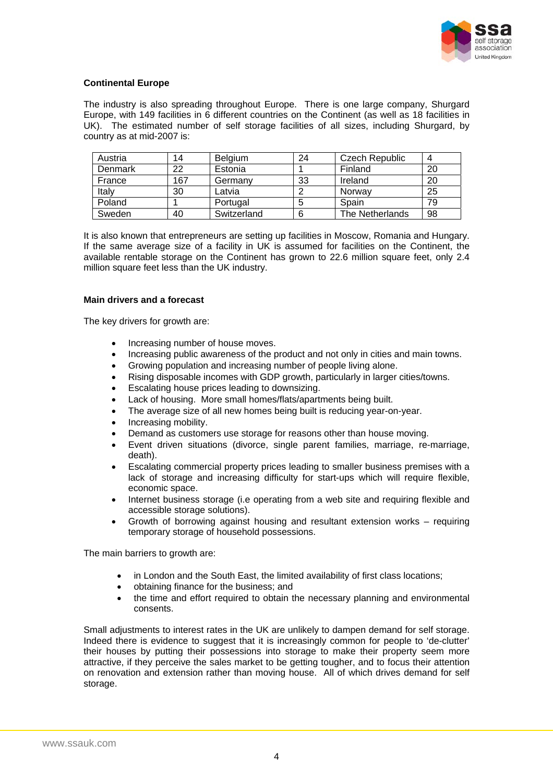

#### **Continental Europe**

The industry is also spreading throughout Europe. There is one large company, Shurgard Europe, with 149 facilities in 6 different countries on the Continent (as well as 18 facilities in UK). The estimated number of self storage facilities of all sizes, including Shurgard, by country as at mid-2007 is:

| Austria | 14  | <b>Belgium</b> | 24 | Czech Republic         | 4  |
|---------|-----|----------------|----|------------------------|----|
| Denmark | 22  | Estonia        |    | Finland                | 20 |
| France  | 167 | Germany        | 33 | Ireland                | 20 |
| Italy   | 30  | Latvia         |    | Norway                 | 25 |
| Poland  |     | Portugal       |    | Spain                  | 79 |
| Sweden  | 40  | Switzerland    | 6  | <b>The Netherlands</b> | 98 |

It is also known that entrepreneurs are setting up facilities in Moscow, Romania and Hungary. If the same average size of a facility in UK is assumed for facilities on the Continent, the available rentable storage on the Continent has grown to 22.6 million square feet, only 2.4 million square feet less than the UK industry.

#### **Main drivers and a forecast**

The key drivers for growth are:

- Increasing number of house moves.
- Increasing public awareness of the product and not only in cities and main towns.
- Growing population and increasing number of people living alone.
- Rising disposable incomes with GDP growth, particularly in larger cities/towns.
- Escalating house prices leading to downsizing.
- Lack of housing. More small homes/flats/apartments being built.
- The average size of all new homes being built is reducing year-on-year.
- Increasing mobility.
- Demand as customers use storage for reasons other than house moving.
- Event driven situations (divorce, single parent families, marriage, re-marriage, death).
- Escalating commercial property prices leading to smaller business premises with a lack of storage and increasing difficulty for start-ups which will require flexible, economic space.
- Internet business storage (i.e operating from a web site and requiring flexible and accessible storage solutions).
- Growth of borrowing against housing and resultant extension works requiring temporary storage of household possessions.

The main barriers to growth are:

- in London and the South East, the limited availability of first class locations;
- obtaining finance for the business; and
- the time and effort required to obtain the necessary planning and environmental consents.

Small adjustments to interest rates in the UK are unlikely to dampen demand for self storage. Indeed there is evidence to suggest that it is increasingly common for people to 'de-clutter' their houses by putting their possessions into storage to make their property seem more attractive, if they perceive the sales market to be getting tougher, and to focus their attention on renovation and extension rather than moving house. All of which drives demand for self storage.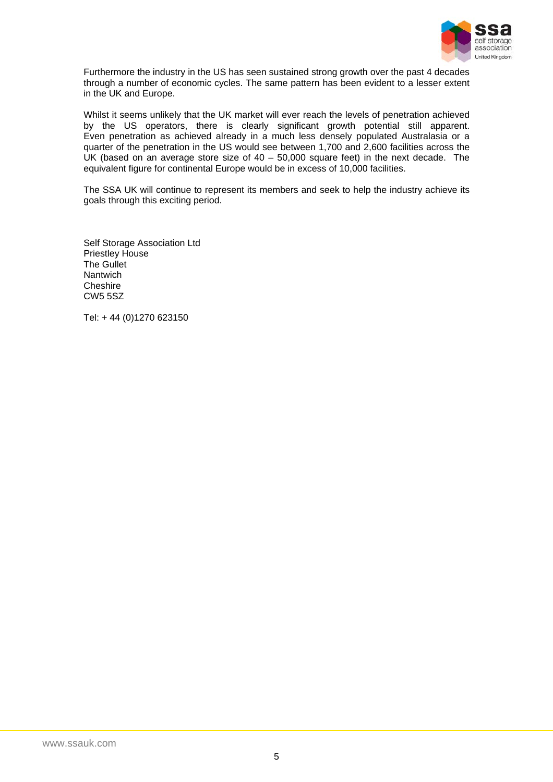

Furthermore the industry in the US has seen sustained strong growth over the past 4 decades through a number of economic cycles. The same pattern has been evident to a lesser extent in the UK and Europe.

Whilst it seems unlikely that the UK market will ever reach the levels of penetration achieved by the US operators, there is clearly significant growth potential still apparent. Even penetration as achieved already in a much less densely populated Australasia or a quarter of the penetration in the US would see between 1,700 and 2,600 facilities across the UK (based on an average store size of  $40 - 50,000$  square feet) in the next decade. The equivalent figure for continental Europe would be in excess of 10,000 facilities.

The SSA UK will continue to represent its members and seek to help the industry achieve its goals through this exciting period.

Self Storage Association Ltd Priestley House The Gullet Nantwich Cheshire CW5 5SZ

Tel: + 44 (0)1270 623150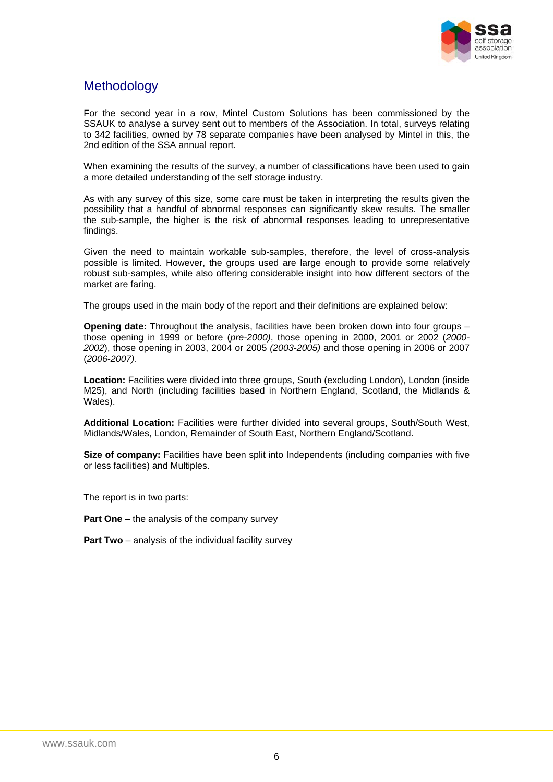

# <span id="page-7-0"></span>**Methodology**

For the second year in a row, Mintel Custom Solutions has been commissioned by the SSAUK to analyse a survey sent out to members of the Association. In total, surveys relating to 342 facilities, owned by 78 separate companies have been analysed by Mintel in this, the 2nd edition of the SSA annual report.

When examining the results of the survey, a number of classifications have been used to gain a more detailed understanding of the self storage industry.

As with any survey of this size, some care must be taken in interpreting the results given the possibility that a handful of abnormal responses can significantly skew results. The smaller the sub-sample, the higher is the risk of abnormal responses leading to unrepresentative findings.

Given the need to maintain workable sub-samples, therefore, the level of cross-analysis possible is limited. However, the groups used are large enough to provide some relatively robust sub-samples, while also offering considerable insight into how different sectors of the market are faring.

The groups used in the main body of the report and their definitions are explained below:

**Opening date:** Throughout the analysis, facilities have been broken down into four groups – those opening in 1999 or before (*pre-2000)*, those opening in 2000, 2001 or 2002 (*2000- 2002*), those opening in 2003, 2004 or 2005 *(2003-2005)* and those opening in 2006 or 2007 (*2006-2007).*

**Location:** Facilities were divided into three groups, South (excluding London), London (inside M25), and North (including facilities based in Northern England, Scotland, the Midlands & Wales).

**Additional Location:** Facilities were further divided into several groups, South/South West, Midlands/Wales, London, Remainder of South East, Northern England/Scotland.

**Size of company:** Facilities have been split into Independents (including companies with five or less facilities) and Multiples.

The report is in two parts:

**Part One** – the analysis of the company survey

**Part Two** – analysis of the individual facility survey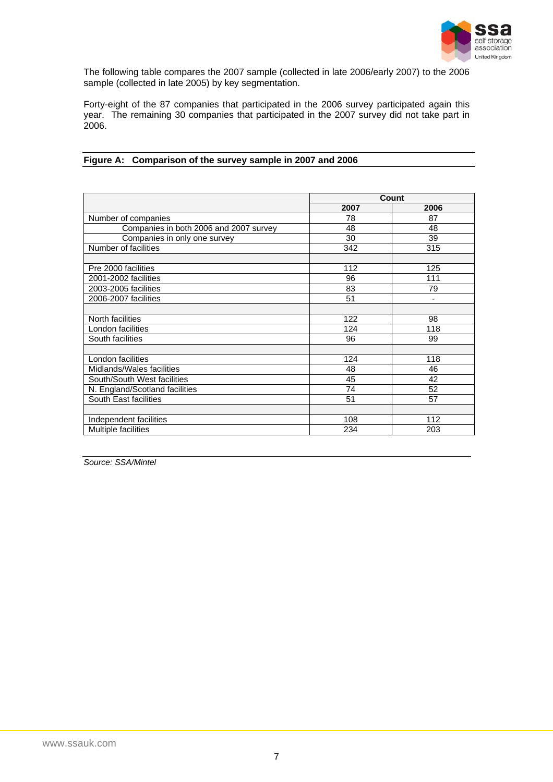

The following table compares the 2007 sample (collected in late 2006/early 2007) to the 2006 sample (collected in late 2005) by key segmentation.

Forty-eight of the 87 companies that participated in the 2006 survey participated again this year. The remaining 30 companies that participated in the 2007 survey did not take part in 2006.

|                                        | Count |                |
|----------------------------------------|-------|----------------|
|                                        | 2007  | 2006           |
| Number of companies                    | 78    | 87             |
| Companies in both 2006 and 2007 survey | 48    | 48             |
| Companies in only one survey           | 30    | 39             |
| Number of facilities                   | 342   | 315            |
|                                        |       |                |
| Pre 2000 facilities                    | 112   | 125            |
| 2001-2002 facilities                   | 96    | 111            |
| 2003-2005 facilities                   | 83    | 79             |
| 2006-2007 facilities                   | 51    | $\blacksquare$ |
|                                        |       |                |
| North facilities                       | 122   | 98             |
| London facilities                      | 124   | 118            |
| South facilities                       | 96    | 99             |
|                                        |       |                |
| London facilities                      | 124   | 118            |
| Midlands/Wales facilities              | 48    | 46             |
| South/South West facilities            | 45    | 42             |
| N. England/Scotland facilities         | 74    | 52             |
| South East facilities                  | 51    | 57             |
|                                        |       |                |
| Independent facilities                 | 108   | 112            |
| Multiple facilities                    | 234   | 203            |

### **Figure A: Comparison of the survey sample in 2007 and 2006**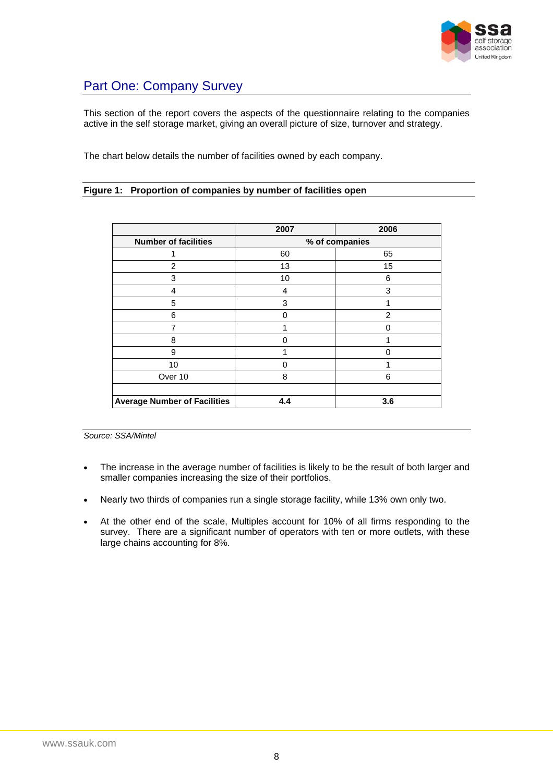

# <span id="page-9-0"></span>Part One: Company Survey

This section of the report covers the aspects of the questionnaire relating to the companies active in the self storage market, giving an overall picture of size, turnover and strategy.

The chart below details the number of facilities owned by each company.

#### **Figure 1: Proportion of companies by number of facilities open**

|                                     | 2007           | 2006          |  |
|-------------------------------------|----------------|---------------|--|
| <b>Number of facilities</b>         | % of companies |               |  |
|                                     | 60             | 65            |  |
| $\overline{2}$                      | 13             | 15            |  |
| 3                                   | 10             | 6             |  |
| 4                                   | 4              | 3             |  |
| 5                                   | 3              |               |  |
| 6                                   | ი              | $\mathcal{P}$ |  |
| 7                                   |                | O             |  |
| 8                                   | n              |               |  |
| 9                                   |                | ∩             |  |
| 10                                  | ი              |               |  |
| Over 10                             | 8              | 6             |  |
|                                     |                |               |  |
| <b>Average Number of Facilities</b> | 4.4            | 3.6           |  |

- The increase in the average number of facilities is likely to be the result of both larger and smaller companies increasing the size of their portfolios.
- Nearly two thirds of companies run a single storage facility, while 13% own only two.
- At the other end of the scale, Multiples account for 10% of all firms responding to the survey. There are a significant number of operators with ten or more outlets, with these large chains accounting for 8%.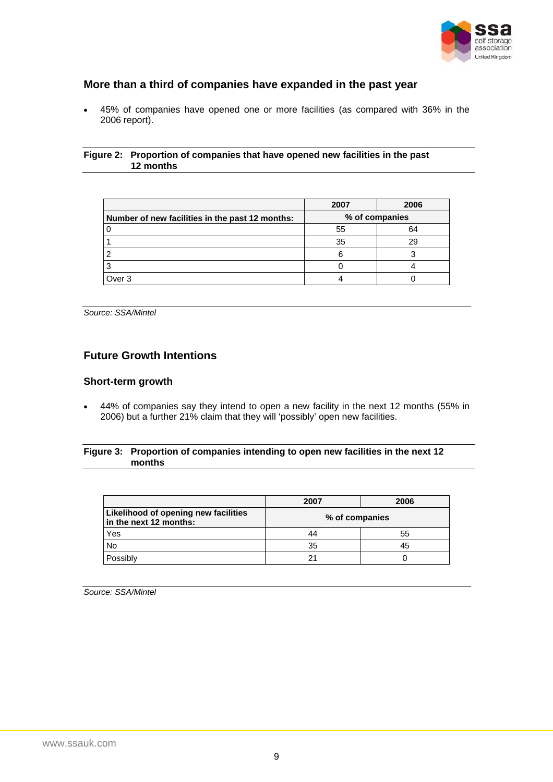

### <span id="page-10-0"></span>**More than a third of companies have expanded in the past year**

• 45% of companies have opened one or more facilities (as compared with 36% in the 2006 report).

#### **Figure 2: Proportion of companies that have opened new facilities in the past 12 months**

|                                                 | 2007           | 2006 |
|-------------------------------------------------|----------------|------|
| Number of new facilities in the past 12 months: | % of companies |      |
|                                                 | 55             | 64   |
|                                                 | 35             | 29   |
|                                                 |                |      |
|                                                 |                |      |
| Over <sub>3</sub>                               |                |      |

*Source: SSA/Mintel* 

### **Future Growth Intentions**

### **Short-term growth**

• 44% of companies say they intend to open a new facility in the next 12 months (55% in 2006) but a further 21% claim that they will 'possibly' open new facilities.

#### **Figure 3: Proportion of companies intending to open new facilities in the next 12 months**

|                                                                | 2007           | 2006 |
|----------------------------------------------------------------|----------------|------|
| Likelihood of opening new facilities<br>in the next 12 months: | % of companies |      |
| Yes                                                            | 44             | 55   |
| No                                                             | 35             | 45   |
| Possibly                                                       |                |      |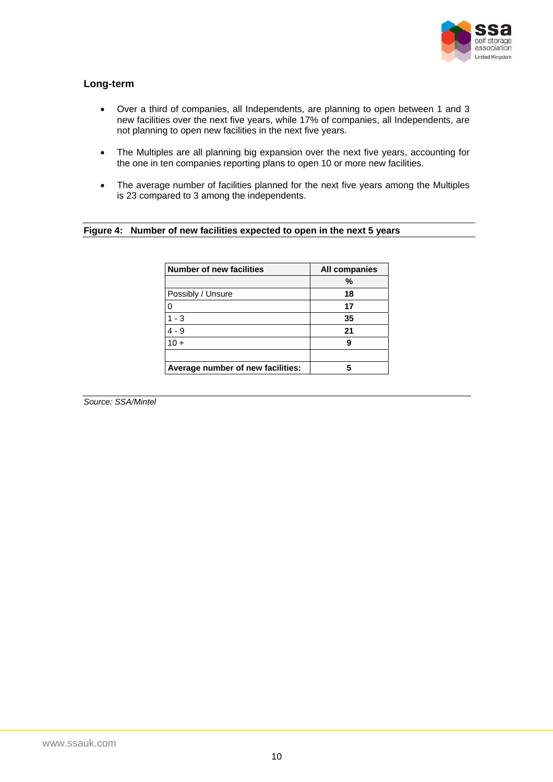

### **Long-term**

- Over a third of companies, all Independents, are planning to open between 1 and 3 new facilities over the next five years, while 17% of companies, all Independents, are not planning to open new facilities in the next five years.
- The Multiples are all planning big expansion over the next five years, accounting for the one in ten companies reporting plans to open 10 or more new facilities.
- The average number of facilities planned for the next five years among the Multiples is 23 compared to 3 among the independents.

#### **Figure 4: Number of new facilities expected to open in the next 5 years**

| <b>Number of new facilities</b>   | <b>All companies</b> |
|-----------------------------------|----------------------|
|                                   | %                    |
| Possibly / Unsure                 | 18                   |
| 0                                 | 17                   |
| $1 - 3$                           | 35                   |
| $4 - 9$                           | 21                   |
| $10 +$                            | 9                    |
|                                   |                      |
| Average number of new facilities: |                      |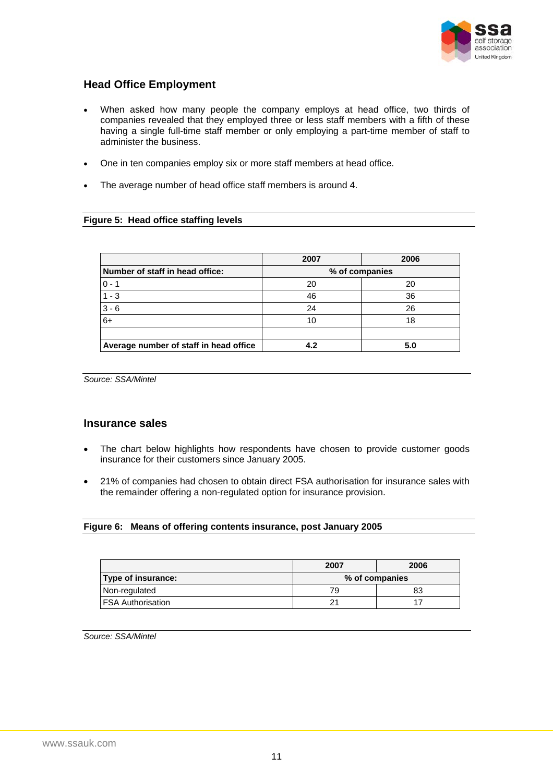

### <span id="page-12-0"></span>**Head Office Employment**

- When asked how many people the company employs at head office, two thirds of companies revealed that they employed three or less staff members with a fifth of these having a single full-time staff member or only employing a part-time member of staff to administer the business.
- One in ten companies employ six or more staff members at head office.
- The average number of head office staff members is around 4.

#### **Figure 5: Head office staffing levels**

|                                        | 2007           | 2006 |
|----------------------------------------|----------------|------|
| Number of staff in head office:        | % of companies |      |
| $0 - 1$                                | 20             | 20   |
| $1 - 3$                                | 46             | 36   |
| $3 - 6$                                | 24             | 26   |
| $6+$                                   | 10             | 18   |
|                                        |                |      |
| Average number of staff in head office | 4.2            | 5.0  |

*Source: SSA/Mintel* 

#### **Insurance sales**

- The chart below highlights how respondents have chosen to provide customer goods insurance for their customers since January 2005.
- 21% of companies had chosen to obtain direct FSA authorisation for insurance sales with the remainder offering a non-regulated option for insurance provision.

### **Figure 6: Means of offering contents insurance, post January 2005**

|                     | 2007           | 2006 |
|---------------------|----------------|------|
| Type of insurance:  | % of companies |      |
| Non-regulated       | 79             |      |
| l FSA Authorisation |                |      |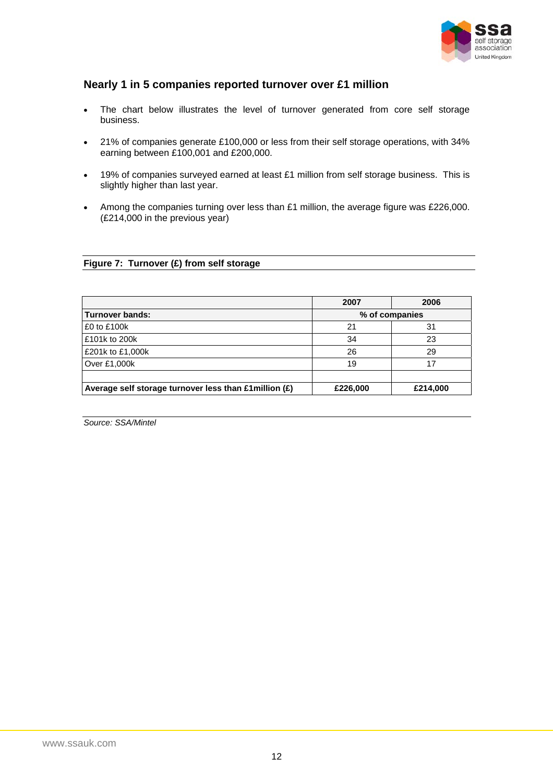

### <span id="page-13-0"></span>**Nearly 1 in 5 companies reported turnover over £1 million**

- The chart below illustrates the level of turnover generated from core self storage business.
- 21% of companies generate £100,000 or less from their self storage operations, with 34% earning between £100,001 and £200,000.
- 19% of companies surveyed earned at least £1 million from self storage business. This is slightly higher than last year.
- Among the companies turning over less than £1 million, the average figure was £226,000. (£214,000 in the previous year)

#### **Figure 7: Turnover (£) from self storage**

|                                                        | 2007     | 2006           |  |
|--------------------------------------------------------|----------|----------------|--|
| <b>Turnover bands:</b>                                 |          | % of companies |  |
| £0 to £100k                                            | 21       | 31             |  |
| £101k to 200k                                          | 34       | 23             |  |
| £201k to £1,000k                                       | 26       | 29             |  |
| Over £1,000k                                           | 19       |                |  |
|                                                        |          |                |  |
| Average self storage turnover less than £1 million (£) | £226,000 | £214,000       |  |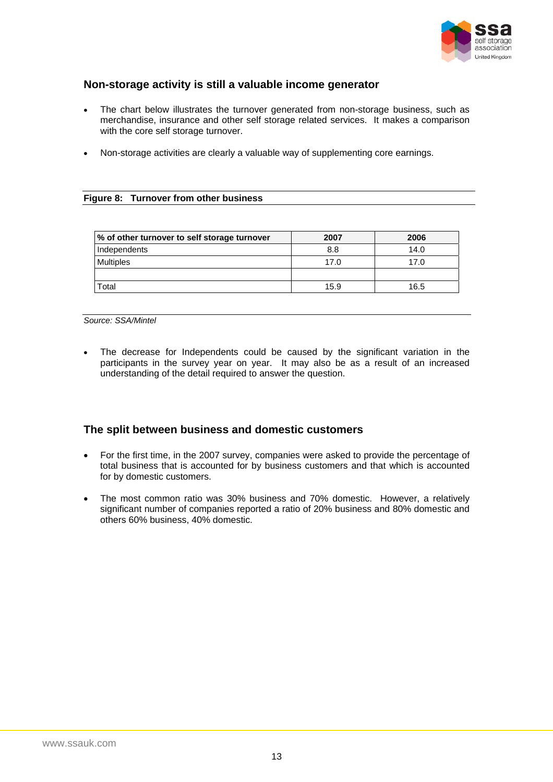

### <span id="page-14-0"></span>**Non-storage activity is still a valuable income generator**

- The chart below illustrates the turnover generated from non-storage business, such as merchandise, insurance and other self storage related services. It makes a comparison with the core self storage turnover.
- Non-storage activities are clearly a valuable way of supplementing core earnings.

#### **Figure 8: Turnover from other business**

| % of other turnover to self storage turnover | 2007 | 2006 |
|----------------------------------------------|------|------|
| Independents                                 | 8.8  | 14.0 |
| <b>Multiples</b>                             | 17.0 | 17.0 |
|                                              |      |      |
| Total                                        | 15.9 | 16.5 |

*Source: SSA/Mintel* 

The decrease for Independents could be caused by the significant variation in the participants in the survey year on year. It may also be as a result of an increased understanding of the detail required to answer the question.

### **The split between business and domestic customers**

- For the first time, in the 2007 survey, companies were asked to provide the percentage of total business that is accounted for by business customers and that which is accounted for by domestic customers.
- The most common ratio was 30% business and 70% domestic. However, a relatively significant number of companies reported a ratio of 20% business and 80% domestic and others 60% business, 40% domestic.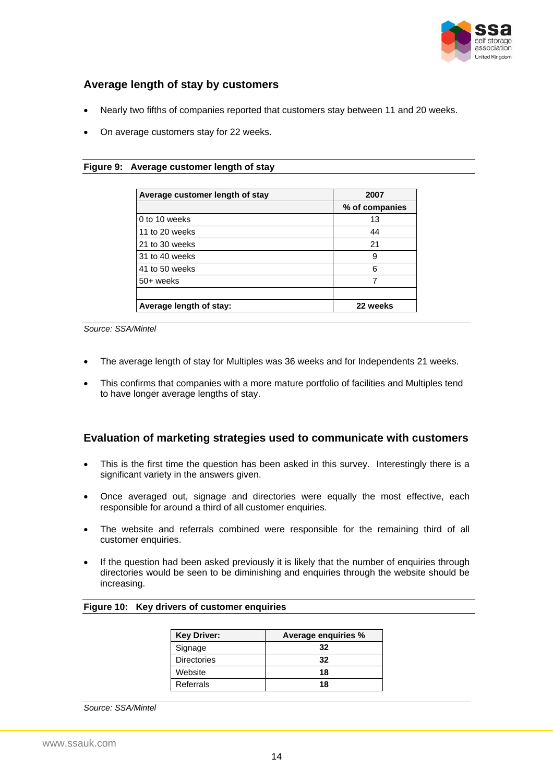

### <span id="page-15-0"></span>**Average length of stay by customers**

- Nearly two fifths of companies reported that customers stay between 11 and 20 weeks.
- On average customers stay for 22 weeks.

#### **Figure 9: Average customer length of stay**

| Average customer length of stay | 2007           |
|---------------------------------|----------------|
|                                 | % of companies |
| 0 to 10 weeks                   | 13             |
| 11 to 20 weeks                  | 44             |
| 21 to 30 weeks                  | 21             |
| 31 to 40 weeks                  | 9              |
| 41 to 50 weeks                  | 6              |
| 50+ weeks                       |                |
| Average length of stay:         | 22 weeks       |

*Source: SSA/Mintel* 

- The average length of stay for Multiples was 36 weeks and for Independents 21 weeks.
- This confirms that companies with a more mature portfolio of facilities and Multiples tend to have longer average lengths of stay.

#### **Evaluation of marketing strategies used to communicate with customers**

- This is the first time the question has been asked in this survey. Interestingly there is a significant variety in the answers given.
- Once averaged out, signage and directories were equally the most effective, each responsible for around a third of all customer enquiries.
- The website and referrals combined were responsible for the remaining third of all customer enquiries.
- If the question had been asked previously it is likely that the number of enquiries through directories would be seen to be diminishing and enquiries through the website should be increasing.

#### **Figure 10: Key drivers of customer enquiries**

| <b>Key Driver:</b> | Average enquiries % |
|--------------------|---------------------|
| Signage            | 32                  |
| <b>Directories</b> | 32                  |
| Website            | 18                  |
| Referrals          | 18                  |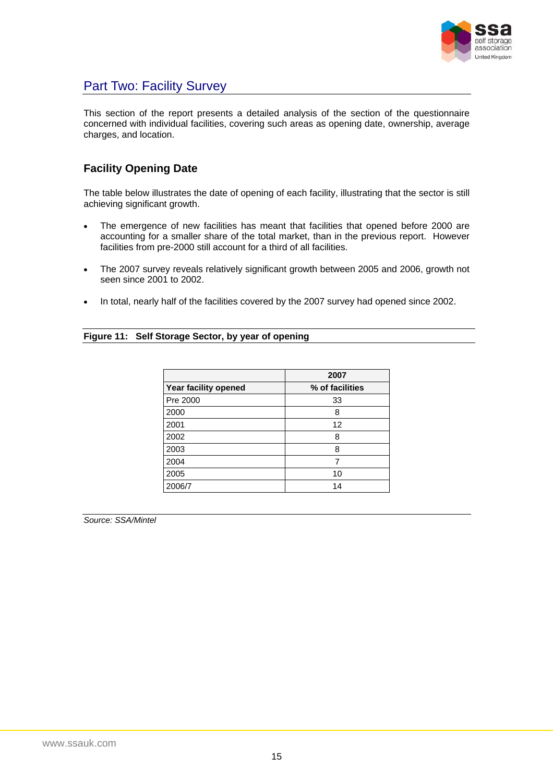

### <span id="page-16-0"></span>Part Two: Facility Survey

This section of the report presents a detailed analysis of the section of the questionnaire concerned with individual facilities, covering such areas as opening date, ownership, average charges, and location.

### **Facility Opening Date**

The table below illustrates the date of opening of each facility, illustrating that the sector is still achieving significant growth.

- The emergence of new facilities has meant that facilities that opened before 2000 are accounting for a smaller share of the total market, than in the previous report. However facilities from pre-2000 still account for a third of all facilities.
- The 2007 survey reveals relatively significant growth between 2005 and 2006, growth not seen since 2001 to 2002.
- In total, nearly half of the facilities covered by the 2007 survey had opened since 2002.

#### **Figure 11: Self Storage Sector, by year of opening**

|                      | 2007            |
|----------------------|-----------------|
| Year facility opened | % of facilities |
| Pre 2000             | 33              |
| 2000                 | 8               |
| 2001                 | 12              |
| 2002                 | 8               |
| 2003                 | 8               |
| 2004                 |                 |
| 2005                 | 10              |
| 2006/7               | 14              |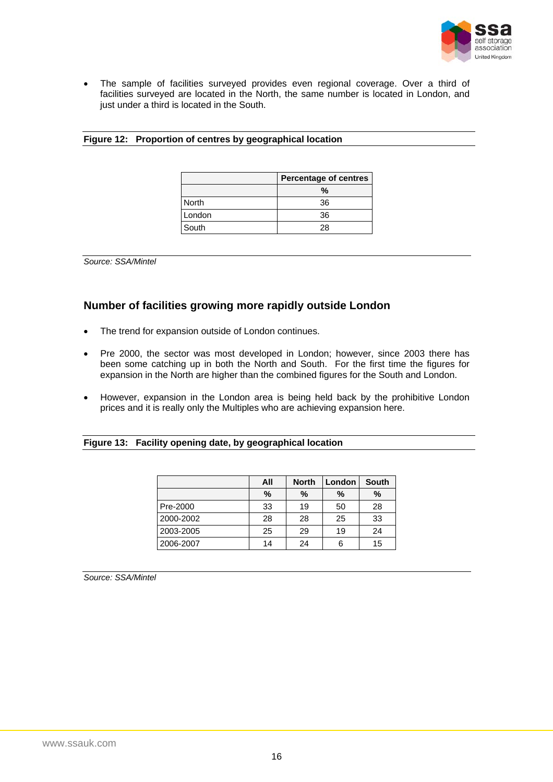

<span id="page-17-0"></span>• The sample of facilities surveyed provides even regional coverage. Over a third of facilities surveyed are located in the North, the same number is located in London, and just under a third is located in the South.

#### **Figure 12: Proportion of centres by geographical location**

|              | <b>Percentage of centres</b> |
|--------------|------------------------------|
|              | %                            |
| <b>North</b> | 36                           |
| London       | 36                           |
| South        | 28                           |

*Source: SSA/Mintel* 

### **Number of facilities growing more rapidly outside London**

- The trend for expansion outside of London continues.
- Pre 2000, the sector was most developed in London; however, since 2003 there has been some catching up in both the North and South. For the first time the figures for expansion in the North are higher than the combined figures for the South and London.
- However, expansion in the London area is being held back by the prohibitive London prices and it is really only the Multiples who are achieving expansion here.

#### **Figure 13: Facility opening date, by geographical location**

|           | All  | <b>North</b> | London | <b>South</b> |
|-----------|------|--------------|--------|--------------|
|           | $\%$ | %            | %      | %            |
| Pre-2000  | 33   | 19           | 50     | 28           |
| 2000-2002 | 28   | 28           | 25     | 33           |
| 2003-2005 | 25   | 29           | 19     | 24           |
| 2006-2007 | 14   | 24           | 6      | 15           |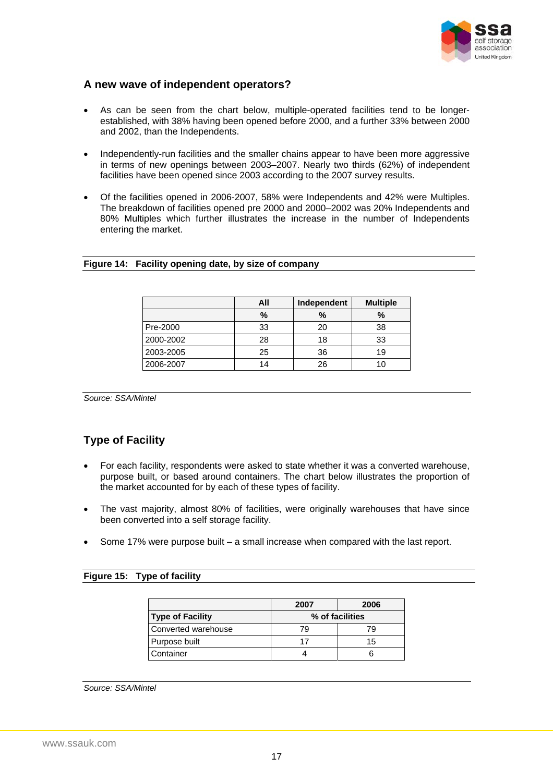

### <span id="page-18-0"></span>**A new wave of independent operators?**

- As can be seen from the chart below, multiple-operated facilities tend to be longerestablished, with 38% having been opened before 2000, and a further 33% between 2000 and 2002, than the Independents.
- Independently-run facilities and the smaller chains appear to have been more aggressive in terms of new openings between 2003–2007. Nearly two thirds (62%) of independent facilities have been opened since 2003 according to the 2007 survey results.
- Of the facilities opened in 2006-2007, 58% were Independents and 42% were Multiples. The breakdown of facilities opened pre 2000 and 2000–2002 was 20% Independents and 80% Multiples which further illustrates the increase in the number of Independents entering the market.

#### **Figure 14: Facility opening date, by size of company**

|           | All<br>Independent |      | <b>Multiple</b> |
|-----------|--------------------|------|-----------------|
|           | %                  | $\%$ | %               |
| Pre-2000  | 33                 | 20   | 38              |
| 2000-2002 | 28                 | 18   | 33              |
| 2003-2005 | 25                 | 36   | 19              |
| 2006-2007 | 14                 | 26   | 1 ( )           |

*Source: SSA/Mintel* 

### **Type of Facility**

- For each facility, respondents were asked to state whether it was a converted warehouse, purpose built, or based around containers. The chart below illustrates the proportion of the market accounted for by each of these types of facility.
- The vast majority, almost 80% of facilities, were originally warehouses that have since been converted into a self storage facility.
- Some 17% were purpose built a small increase when compared with the last report.

#### **Figure 15: Type of facility**

|                         | 2007            | 2006 |
|-------------------------|-----------------|------|
| <b>Type of Facility</b> | % of facilities |      |
| Converted warehouse     | 79              | 79   |
| Purpose built           |                 | 15   |
| Container               |                 |      |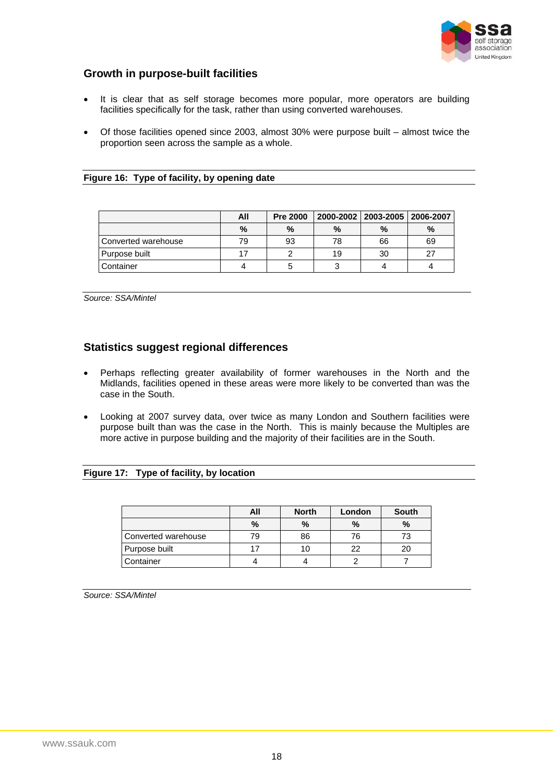

### <span id="page-19-0"></span>**Growth in purpose-built facilities**

- It is clear that as self storage becomes more popular, more operators are building facilities specifically for the task, rather than using converted warehouses.
- Of those facilities opened since 2003, almost 30% were purpose built almost twice the proportion seen across the sample as a whole.

|  | Figure 16: Type of facility, by opening date |
|--|----------------------------------------------|
|  |                                              |

|                     | All  | <b>Pre 2000</b> |    | 2000-2002   2003-2005   2006-2007 |    |
|---------------------|------|-----------------|----|-----------------------------------|----|
|                     | $\%$ | %               | %  | $\frac{0}{0}$                     | %  |
| Converted warehouse | 79   | 93              | 78 | 66                                | 69 |
| Purpose built       |      |                 | 19 | 30                                | 27 |
| Container           |      |                 |    |                                   |    |

*Source: SSA/Mintel* 

#### **Statistics suggest regional differences**

- Perhaps reflecting greater availability of former warehouses in the North and the Midlands, facilities opened in these areas were more likely to be converted than was the case in the South.
- Looking at 2007 survey data, over twice as many London and Southern facilities were purpose built than was the case in the North. This is mainly because the Multiples are more active in purpose building and the majority of their facilities are in the South.

#### **Figure 17: Type of facility, by location**

|                     | All | <b>North</b> | London | South |
|---------------------|-----|--------------|--------|-------|
|                     | %   | %            | $\%$   | $\%$  |
| Converted warehouse | 79  | 86           | 76     | 73    |
| Purpose built       |     | 10           | 22     | 20    |
| Container           |     |              |        |       |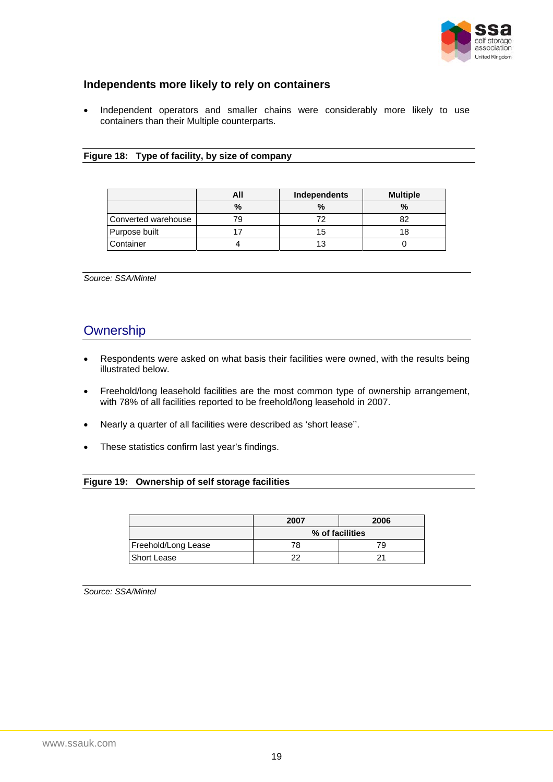

### <span id="page-20-0"></span>**Independents more likely to rely on containers**

• Independent operators and smaller chains were considerably more likely to use containers than their Multiple counterparts.

#### **Figure 18: Type of facility, by size of company**

|                     | All           | Independents | <b>Multiple</b> |
|---------------------|---------------|--------------|-----------------|
|                     | $\frac{0}{2}$ | $\%$         | $\%$            |
| Converted warehouse |               |              |                 |
| Purpose built       |               | 15           |                 |
| <b>Container</b>    |               |              |                 |

*Source: SSA/Mintel* 

### **Ownership**

- Respondents were asked on what basis their facilities were owned, with the results being illustrated below.
- Freehold/long leasehold facilities are the most common type of ownership arrangement, with 78% of all facilities reported to be freehold/long leasehold in 2007.
- Nearly a quarter of all facilities were described as 'short lease''.
- These statistics confirm last year's findings.

#### **Figure 19: Ownership of self storage facilities**

|                     | 2007            | 2006 |  |
|---------------------|-----------------|------|--|
|                     | % of facilities |      |  |
| Freehold/Long Lease | 78              | 79   |  |
| Short Lease         | າາ              |      |  |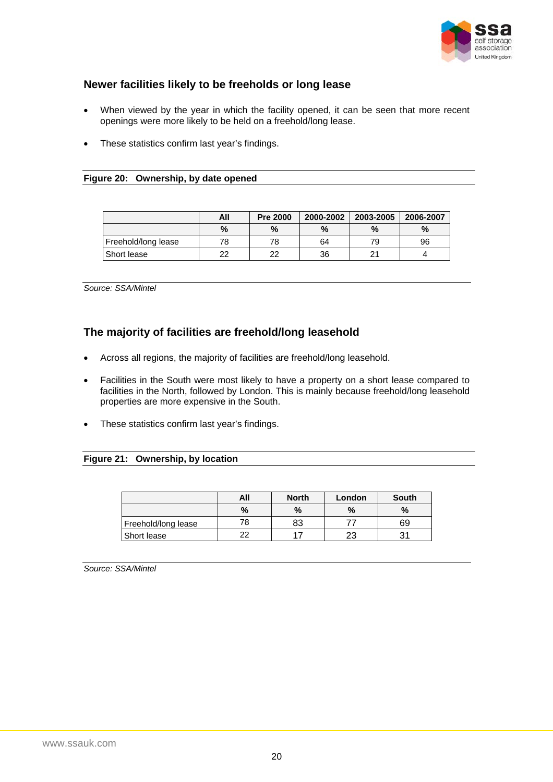

### <span id="page-21-0"></span>**Newer facilities likely to be freeholds or long lease**

- When viewed by the year in which the facility opened, it can be seen that more recent openings were more likely to be held on a freehold/long lease.
- These statistics confirm last year's findings.

#### **Figure 20: Ownership, by date opened**

|                     | All | <b>Pre 2000</b> | 2000-2002 | 2003-2005 | 2006-2007 |
|---------------------|-----|-----------------|-----------|-----------|-----------|
|                     | %   | %               | %         | %         | %         |
| Freehold/long lease | 78  | 78              | 64        | 79        | 96        |
| Short lease         | າາ  | າາ              | 36        | c.        |           |

*Source: SSA/Mintel* 

### **The majority of facilities are freehold/long leasehold**

- Across all regions, the majority of facilities are freehold/long leasehold.
- Facilities in the South were most likely to have a property on a short lease compared to facilities in the North, followed by London. This is mainly because freehold/long leasehold properties are more expensive in the South.
- These statistics confirm last year's findings.

#### **Figure 21: Ownership, by location**

|                     | All  | <b>North</b> | London | South |
|---------------------|------|--------------|--------|-------|
|                     | $\%$ | %            | $\%$   | $\%$  |
| Freehold/long lease | 78   | 83           |        | 69    |
| Short lease         |      |              | ົດ     |       |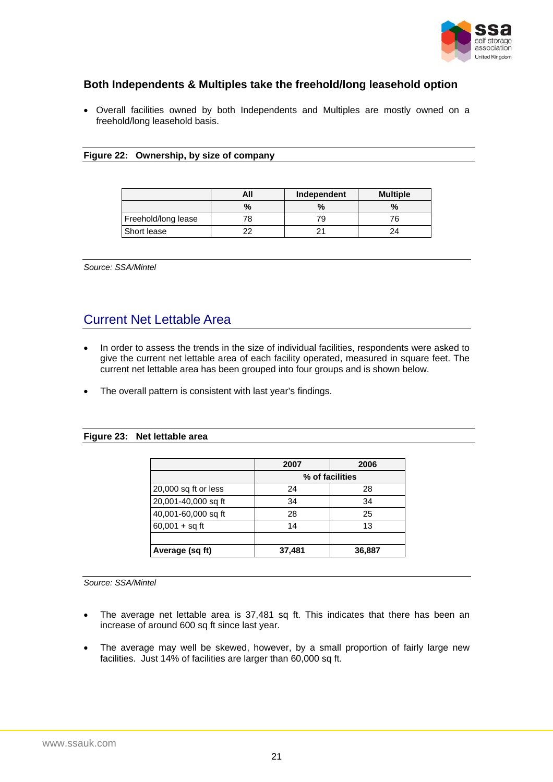

### <span id="page-22-0"></span>**Both Independents & Multiples take the freehold/long leasehold option**

• Overall facilities owned by both Independents and Multiples are mostly owned on a freehold/long leasehold basis.

#### **Figure 22: Ownership, by size of company**

|                     | All | Independent | <b>Multiple</b> |
|---------------------|-----|-------------|-----------------|
|                     | %   |             | %               |
| Freehold/long lease | 78  | 79          |                 |
| Short lease         |     |             |                 |

*Source: SSA/Mintel* 

# Current Net Lettable Area

- In order to assess the trends in the size of individual facilities, respondents were asked to give the current net lettable area of each facility operated, measured in square feet. The current net lettable area has been grouped into four groups and is shown below.
- The overall pattern is consistent with last year's findings.

#### **Figure 23: Net lettable area**

|                      | 2007            | 2006   |  |
|----------------------|-----------------|--------|--|
|                      | % of facilities |        |  |
| 20,000 sq ft or less | 24              | 28     |  |
| 20,001-40,000 sq ft  | 34              | 34     |  |
| 40,001-60,000 sq ft  | 28              | 25     |  |
| $60,001 + sq$ ft     | 14              | 13     |  |
|                      |                 |        |  |
| Average (sq ft)      | 37,481          | 36,887 |  |

- The average net lettable area is 37,481 sq ft. This indicates that there has been an increase of around 600 sq ft since last year.
- The average may well be skewed, however, by a small proportion of fairly large new facilities. Just 14% of facilities are larger than 60,000 sq ft.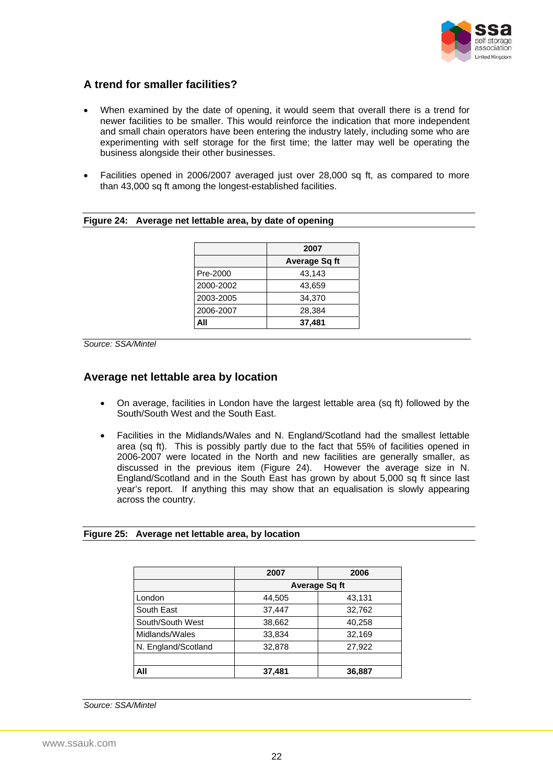

### <span id="page-23-0"></span>**A trend for smaller facilities?**

- When examined by the date of opening, it would seem that overall there is a trend for newer facilities to be smaller. This would reinforce the indication that more independent and small chain operators have been entering the industry lately, including some who are experimenting with self storage for the first time; the latter may well be operating the business alongside their other businesses.
- Facilities opened in 2006/2007 averaged just over 28,000 sq ft, as compared to more than 43,000 sq ft among the longest-established facilities.

|           | 2007                 |
|-----------|----------------------|
|           | <b>Average Sq ft</b> |
| Pre-2000  | 43,143               |
| 2000-2002 | 43,659               |
| 2003-2005 | 34.370               |
| 2006-2007 | 28.384               |
| All       | 37,481               |

#### **Figure 24: Average net lettable area, by date of opening**

*Source: SSA/Mintel* 

#### **Average net lettable area by location**

- On average, facilities in London have the largest lettable area (sq ft) followed by the South/South West and the South East.
- Facilities in the Midlands/Wales and N. England/Scotland had the smallest lettable area (sq ft). This is possibly partly due to the fact that 55% of facilities opened in 2006-2007 were located in the North and new facilities are generally smaller, as discussed in the previous item (Figure 24). However the average size in N. England/Scotland and in the South East has grown by about 5,000 sq ft since last year's report. If anything this may show that an equalisation is slowly appearing across the country.

#### **Figure 25: Average net lettable area, by location**

|                     | 2007   | 2006                 |
|---------------------|--------|----------------------|
|                     |        | <b>Average Sq ft</b> |
| London              | 44,505 | 43,131               |
| South East          | 37,447 | 32,762               |
| South/South West    | 38,662 | 40,258               |
| Midlands/Wales      | 33,834 | 32,169               |
| N. England/Scotland | 32,878 | 27,922               |
|                     |        |                      |
| All                 | 37,481 | 36,887               |

*Source: SSA/Mintel*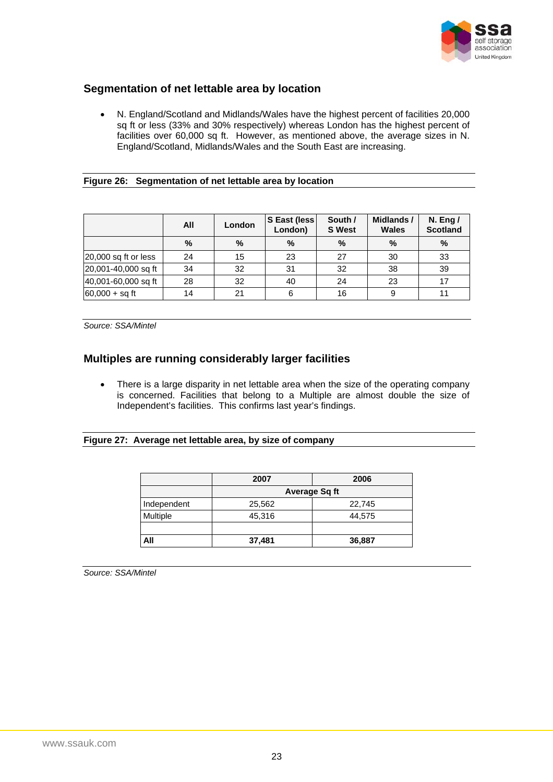

### <span id="page-24-0"></span>**Segmentation of net lettable area by location**

• N. England/Scotland and Midlands/Wales have the highest percent of facilities 20,000 sq ft or less (33% and 30% respectively) whereas London has the highest percent of facilities over 60,000 sq ft. However, as mentioned above, the average sizes in N. England/Scotland, Midlands/Wales and the South East are increasing.

#### **Figure 26: Segmentation of net lettable area by location**

|                        | All | London | S East (less)<br>London) | South /<br><b>S</b> West | Midlands /<br><b>Wales</b> | N. Eng $/$<br><b>Scotland</b> |
|------------------------|-----|--------|--------------------------|--------------------------|----------------------------|-------------------------------|
|                        | %   | %      | %                        | $\%$                     | $\%$                       | $\%$                          |
| $20,000$ sq ft or less | 24  | 15     | 23                       | 27                       | 30                         | 33                            |
| 20,001-40,000 sq ft    | 34  | 32     | 31                       | 32                       | 38                         | 39                            |
| 40,001-60,000 sq ft    | 28  | 32     | 40                       | 24                       | 23                         |                               |
| $60,000 + sq$ ft       | 14  | 21     | 6                        | 16                       | 9                          | 11                            |

*Source: SSA/Mintel* 

### **Multiples are running considerably larger facilities**

• There is a large disparity in net lettable area when the size of the operating company is concerned. Facilities that belong to a Multiple are almost double the size of Independent's facilities. This confirms last year's findings.

#### **Figure 27: Average net lettable area, by size of company**

|             | 2007          | 2006   |  |
|-------------|---------------|--------|--|
|             | Average Sq ft |        |  |
| Independent | 25,562        | 22,745 |  |
| Multiple    | 45,316        | 44,575 |  |
|             |               |        |  |
| All         | 37,481        | 36,887 |  |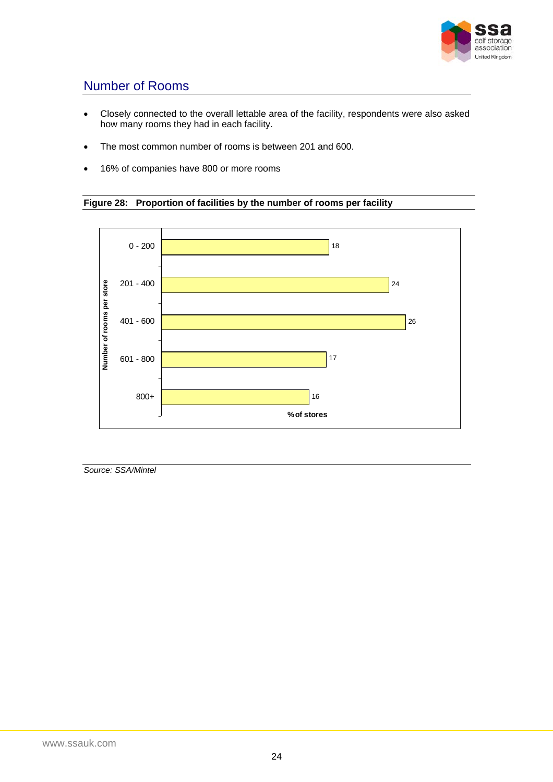

# <span id="page-25-0"></span>Number of Rooms

- Closely connected to the overall lettable area of the facility, respondents were also asked how many rooms they had in each facility.
- The most common number of rooms is between 201 and 600.
- 16% of companies have 800 or more rooms



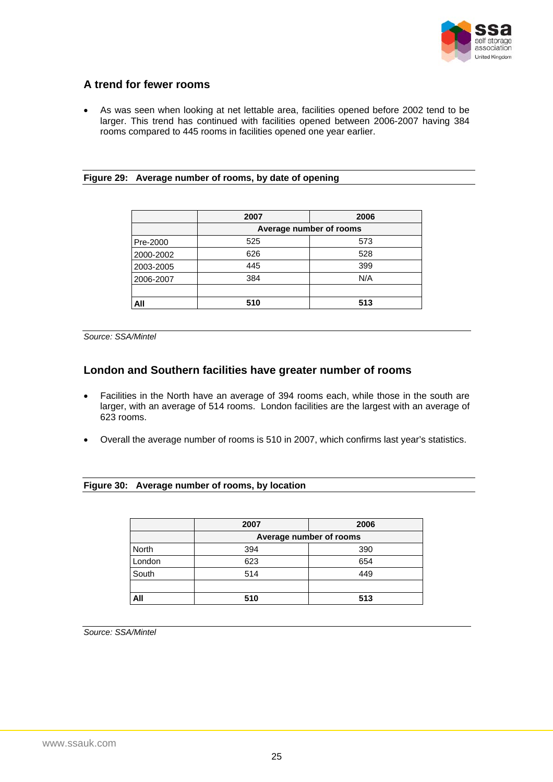

### <span id="page-26-0"></span>**A trend for fewer rooms**

• As was seen when looking at net lettable area, facilities opened before 2002 tend to be larger. This trend has continued with facilities opened between 2006-2007 having 384 rooms compared to 445 rooms in facilities opened one year earlier.

#### **Figure 29: Average number of rooms, by date of opening**

|           | 2007                    | 2006 |  |
|-----------|-------------------------|------|--|
|           | Average number of rooms |      |  |
| Pre-2000  | 525                     | 573  |  |
| 2000-2002 | 626                     | 528  |  |
| 2003-2005 | 445                     | 399  |  |
| 2006-2007 | 384                     | N/A  |  |
|           |                         |      |  |
| All       | 510                     | 513  |  |

*Source: SSA/Mintel* 

### **London and Southern facilities have greater number of rooms**

- Facilities in the North have an average of 394 rooms each, while those in the south are larger, with an average of 514 rooms. London facilities are the largest with an average of 623 rooms.
- Overall the average number of rooms is 510 in 2007, which confirms last year's statistics.

#### **Figure 30: Average number of rooms, by location**

|        | 2007                    | 2006 |  |
|--------|-------------------------|------|--|
|        | Average number of rooms |      |  |
| North  | 394                     | 390  |  |
| London | 623                     | 654  |  |
| South  | 514                     | 449  |  |
|        |                         |      |  |
| All    | 510                     | 513  |  |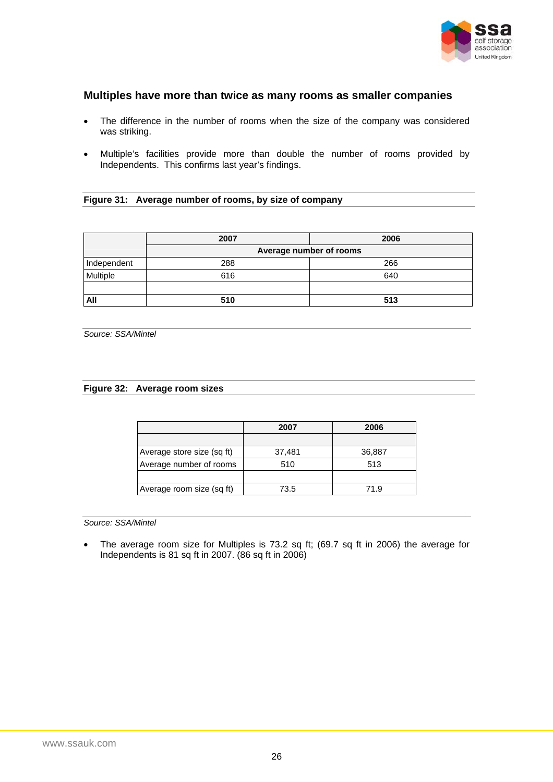

### <span id="page-27-0"></span>**Multiples have more than twice as many rooms as smaller companies**

- The difference in the number of rooms when the size of the company was considered was striking.
- Multiple's facilities provide more than double the number of rooms provided by Independents. This confirms last year's findings.

#### **Figure 31: Average number of rooms, by size of company**

|             | 2007                    | 2006 |  |
|-------------|-------------------------|------|--|
|             | Average number of rooms |      |  |
| Independent | 288                     | 266  |  |
| Multiple    | 616                     | 640  |  |
|             |                         |      |  |
| All         | 510                     | 513  |  |

*Source: SSA/Mintel* 

#### **Figure 32: Average room sizes**

|                            | 2007   | 2006   |
|----------------------------|--------|--------|
|                            |        |        |
| Average store size (sq ft) | 37,481 | 36,887 |
| Average number of rooms    | 510    | 513    |
|                            |        |        |
| Average room size (sq ft)  | 73.5   | 71.9   |

*Source: SSA/Mintel* 

• The average room size for Multiples is 73.2 sq ft; (69.7 sq ft in 2006) the average for Independents is 81 sq ft in 2007. (86 sq ft in 2006)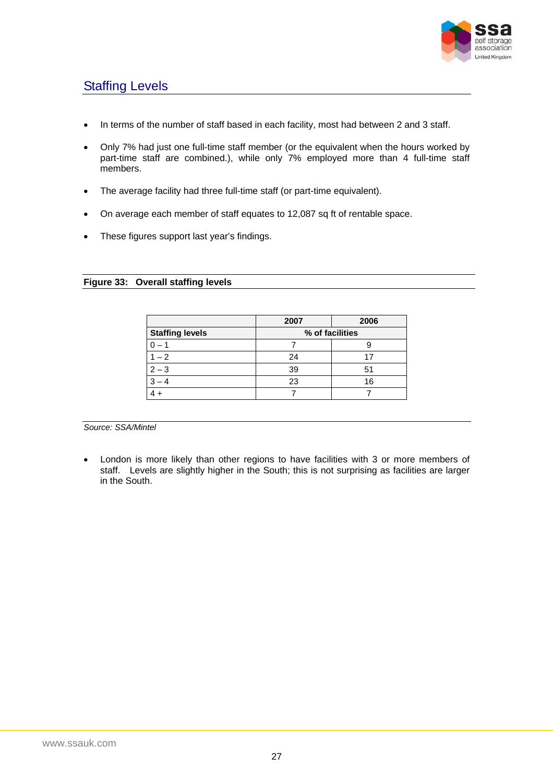

# <span id="page-28-0"></span>Staffing Levels

- In terms of the number of staff based in each facility, most had between 2 and 3 staff.
- Only 7% had just one full-time staff member (or the equivalent when the hours worked by part-time staff are combined.), while only 7% employed more than 4 full-time staff members.
- The average facility had three full-time staff (or part-time equivalent).
- On average each member of staff equates to 12,087 sq ft of rentable space.
- These figures support last year's findings.

#### **Figure 33: Overall staffing levels**

|                        | 2007            | 2006 |  |
|------------------------|-----------------|------|--|
| <b>Staffing levels</b> | % of facilities |      |  |
|                        |                 |      |  |
| $1 - 2$                | 24              |      |  |
| $2 - 3$                | 39              |      |  |
|                        | 23              | 16   |  |
|                        |                 |      |  |

*Source: SSA/Mintel* 

• London is more likely than other regions to have facilities with 3 or more members of staff. Levels are slightly higher in the South; this is not surprising as facilities are larger in the South.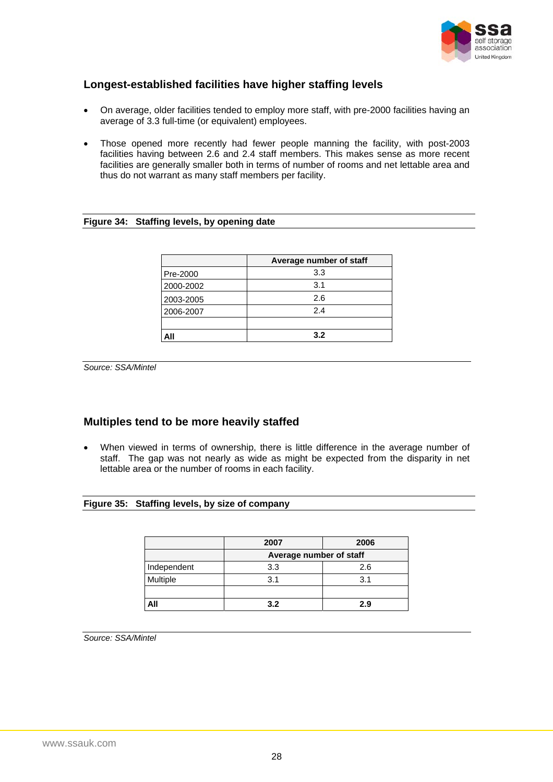

### <span id="page-29-0"></span>**Longest-established facilities have higher staffing levels**

- On average, older facilities tended to employ more staff, with pre-2000 facilities having an average of 3.3 full-time (or equivalent) employees.
- Those opened more recently had fewer people manning the facility, with post-2003 facilities having between 2.6 and 2.4 staff members. This makes sense as more recent facilities are generally smaller both in terms of number of rooms and net lettable area and thus do not warrant as many staff members per facility.

#### **Figure 34: Staffing levels, by opening date**

|           | Average number of staff |
|-----------|-------------------------|
| Pre-2000  | 3.3                     |
| 2000-2002 | 3.1                     |
| 2003-2005 | 2.6                     |
| 2006-2007 | 2.4                     |
|           |                         |
| All       | 3.2                     |

*Source: SSA/Mintel* 

### **Multiples tend to be more heavily staffed**

When viewed in terms of ownership, there is little difference in the average number of staff. The gap was not nearly as wide as might be expected from the disparity in net lettable area or the number of rooms in each facility.

#### **Figure 35: Staffing levels, by size of company**

|             | 2007                    | 2006 |  |  |
|-------------|-------------------------|------|--|--|
|             | Average number of staff |      |  |  |
| Independent | 3.3                     | 2.6  |  |  |
| Multiple    | 3.1                     | 3.1  |  |  |
|             |                         |      |  |  |
| All         | 3.2                     | 2.9  |  |  |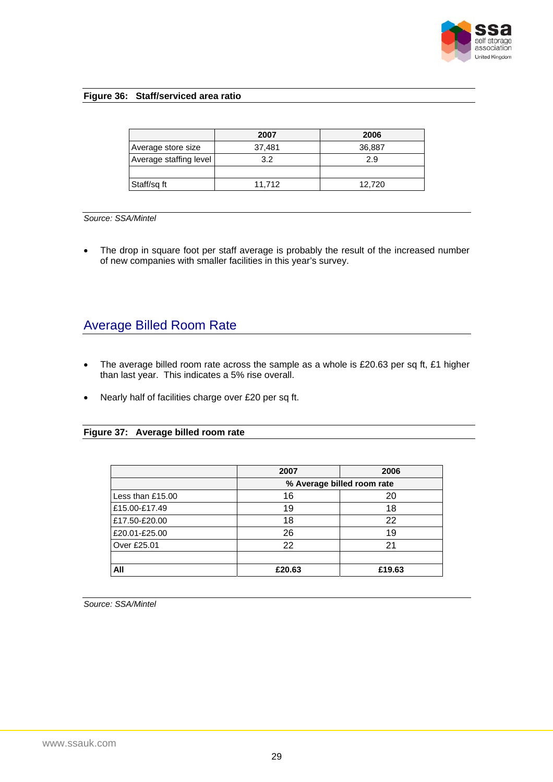

#### <span id="page-30-0"></span>**Figure 36: Staff/serviced area ratio**

|                        | 2007   | 2006   |
|------------------------|--------|--------|
| Average store size     | 37,481 | 36,887 |
| Average staffing level | 32     | 2.9    |
|                        |        |        |
| Staff/sg ft            | 11.712 | 12,720 |

#### *Source: SSA/Mintel*

• The drop in square foot per staff average is probably the result of the increased number of new companies with smaller facilities in this year's survey.

### Average Billed Room Rate

- The average billed room rate across the sample as a whole is £20.63 per sq ft, £1 higher than last year. This indicates a 5% rise overall.
- Nearly half of facilities charge over £20 per sq ft.

#### **Figure 37: Average billed room rate**

|                  | 2007                       | 2006   |  |
|------------------|----------------------------|--------|--|
|                  | % Average billed room rate |        |  |
| Less than £15.00 | 16                         | 20     |  |
| £15.00-£17.49    | 19                         | 18     |  |
| £17.50-£20.00    | 18                         | 22     |  |
| £20.01-£25.00    | 26                         | 19     |  |
| Over £25.01      | 22                         | 21     |  |
|                  |                            |        |  |
| All              | £20.63                     | £19.63 |  |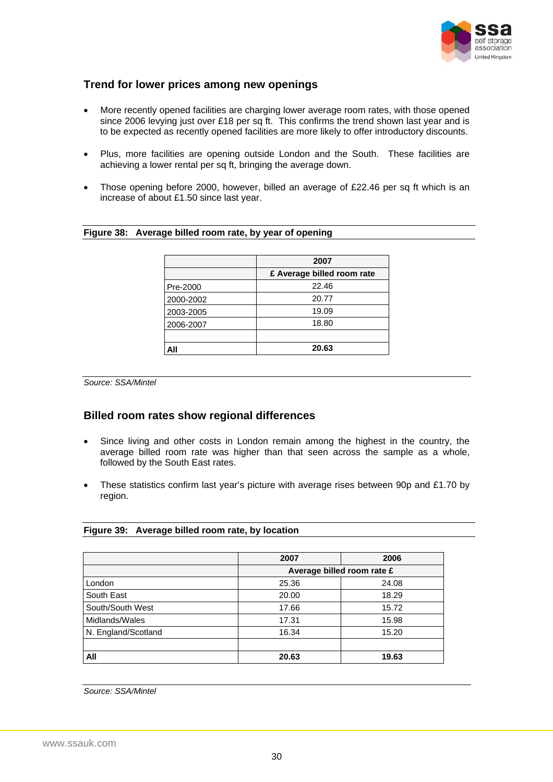

### <span id="page-31-0"></span>**Trend for lower prices among new openings**

- More recently opened facilities are charging lower average room rates, with those opened since 2006 levying just over £18 per sq ft. This confirms the trend shown last year and is to be expected as recently opened facilities are more likely to offer introductory discounts.
- Plus, more facilities are opening outside London and the South. These facilities are achieving a lower rental per sq ft, bringing the average down.
- Those opening before 2000, however, billed an average of £22.46 per sq ft which is an increase of about £1.50 since last year.

#### **Figure 38: Average billed room rate, by year of opening**

|           | 2007                       |
|-----------|----------------------------|
|           | £ Average billed room rate |
| Pre-2000  | 22.46                      |
| 2000-2002 | 20.77                      |
| 2003-2005 | 19.09                      |
| 2006-2007 | 18.80                      |
|           |                            |
| All       | 20.63                      |

*Source: SSA/Mintel* 

### **Billed room rates show regional differences**

- Since living and other costs in London remain among the highest in the country, the average billed room rate was higher than that seen across the sample as a whole, followed by the South East rates.
- These statistics confirm last year's picture with average rises between 90p and £1.70 by region.

#### **Figure 39: Average billed room rate, by location**

|                     | 2007                       | 2006  |
|---------------------|----------------------------|-------|
|                     | Average billed room rate £ |       |
| London              | 25.36                      | 24.08 |
| South East          | 20.00                      | 18.29 |
| South/South West    | 17.66                      | 15.72 |
| Midlands/Wales      | 17.31                      | 15.98 |
| N. England/Scotland | 16.34                      | 15.20 |
|                     |                            |       |
| All                 | 20.63                      | 19.63 |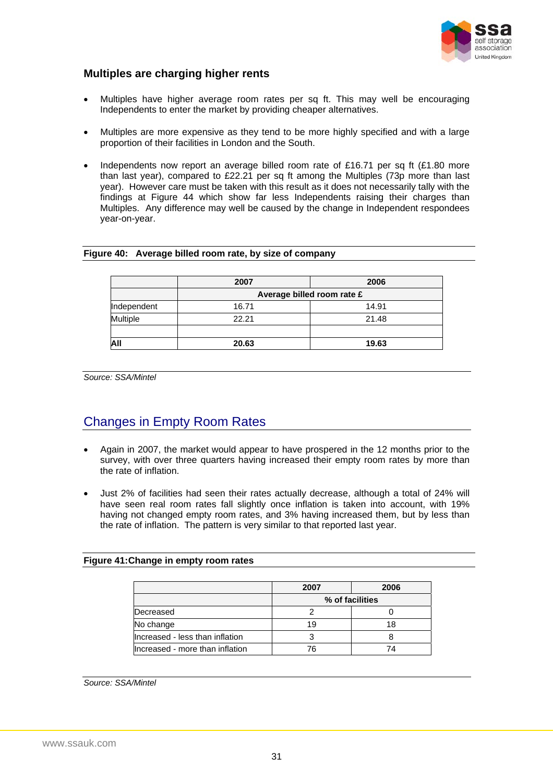

### <span id="page-32-0"></span>**Multiples are charging higher rents**

- Multiples have higher average room rates per sq ft. This may well be encouraging Independents to enter the market by providing cheaper alternatives.
- Multiples are more expensive as they tend to be more highly specified and with a large proportion of their facilities in London and the South.
- Independents now report an average billed room rate of £16.71 per sq ft (£1.80 more than last year), compared to £22.21 per sq ft among the Multiples (73p more than last year). However care must be taken with this result as it does not necessarily tally with the findings at Figure 44 which show far less Independents raising their charges than Multiples. Any difference may well be caused by the change in Independent respondees year-on-year.

|             | 2007                       | 2006  |  |  |
|-------------|----------------------------|-------|--|--|
|             | Average billed room rate £ |       |  |  |
| Independent | 16.71                      | 14.91 |  |  |
| Multiple    | 22.21                      | 21.48 |  |  |
|             |                            |       |  |  |
|             | 20.63                      | 19.63 |  |  |

#### **Figure 40: Average billed room rate, by size of company**

*Source: SSA/Mintel* 

# Changes in Empty Room Rates

- Again in 2007, the market would appear to have prospered in the 12 months prior to the survey, with over three quarters having increased their empty room rates by more than the rate of inflation.
- Just 2% of facilities had seen their rates actually decrease, although a total of 24% will have seen real room rates fall slightly once inflation is taken into account, with 19% having not changed empty room rates, and 3% having increased them, but by less than the rate of inflation. The pattern is very similar to that reported last year.

#### **Figure 41: Change in empty room rates**

|                                 | 2007 | 2006            |
|---------------------------------|------|-----------------|
|                                 |      | % of facilities |
| Decreased                       |      |                 |
| No change                       | 19   | 18              |
| Increased - less than inflation |      |                 |
| Increased - more than inflation | 76   |                 |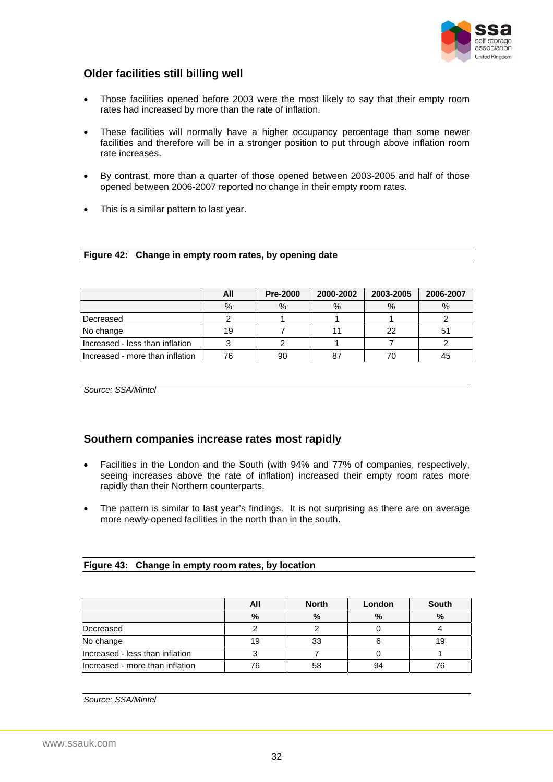

### <span id="page-33-0"></span>**Older facilities still billing well**

- Those facilities opened before 2003 were the most likely to say that their empty room rates had increased by more than the rate of inflation.
- These facilities will normally have a higher occupancy percentage than some newer facilities and therefore will be in a stronger position to put through above inflation room rate increases.
- By contrast, more than a quarter of those opened between 2003-2005 and half of those opened between 2006-2007 reported no change in their empty room rates.
- This is a similar pattern to last year.

|  |  |  | Figure 42: Change in empty room rates, by opening date |
|--|--|--|--------------------------------------------------------|
|--|--|--|--------------------------------------------------------|

|                                 | All  | <b>Pre-2000</b> | 2000-2002 | 2003-2005 | 2006-2007 |
|---------------------------------|------|-----------------|-----------|-----------|-----------|
|                                 | $\%$ | $\%$            | $\%$      | $\%$      | $\%$      |
| Decreased                       |      |                 |           |           |           |
| No change                       | 19   |                 |           | 22        |           |
| Increased - less than inflation |      |                 |           |           |           |
| Increased - more than inflation | 76   | 90              | 87        |           |           |

*Source: SSA/Mintel* 

### **Southern companies increase rates most rapidly**

- Facilities in the London and the South (with 94% and 77% of companies, respectively, seeing increases above the rate of inflation) increased their empty room rates more rapidly than their Northern counterparts.
- The pattern is similar to last year's findings. It is not surprising as there are on average more newly-opened facilities in the north than in the south.

|  |  | Figure 43: Change in empty room rates, by location |
|--|--|----------------------------------------------------|
|--|--|----------------------------------------------------|

|                                 | All | <b>North</b> | London        | <b>South</b> |
|---------------------------------|-----|--------------|---------------|--------------|
|                                 | %   | %            | $\frac{0}{0}$ | $\%$         |
| Decreased                       |     |              |               |              |
| No change                       | 19  | 33           |               | 19           |
| Increased - less than inflation |     |              |               |              |
| Increased - more than inflation | 76  | 58           | 94            |              |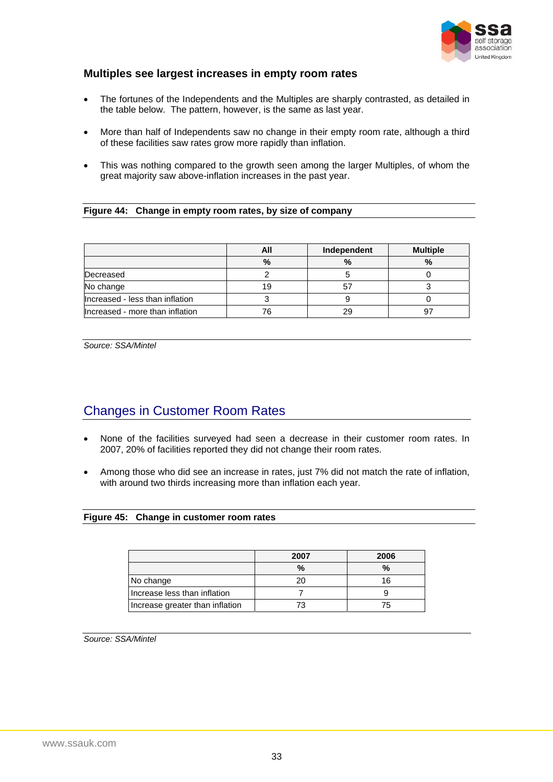

### <span id="page-34-0"></span>**Multiples see largest increases in empty room rates**

- The fortunes of the Independents and the Multiples are sharply contrasted, as detailed in the table below. The pattern, however, is the same as last year.
- More than half of Independents saw no change in their empty room rate, although a third of these facilities saw rates grow more rapidly than inflation.
- This was nothing compared to the growth seen among the larger Multiples, of whom the great majority saw above-inflation increases in the past year.

#### **Figure 44: Change in empty room rates, by size of company**

|                                 | All  | Independent | <b>Multiple</b> |
|---------------------------------|------|-------------|-----------------|
|                                 | $\%$ | %           | %               |
| Decreased                       |      |             |                 |
| No change                       |      |             |                 |
| Increased - less than inflation |      |             |                 |
| Increased - more than inflation |      | 29          |                 |

*Source: SSA/Mintel* 

# Changes in Customer Room Rates

- None of the facilities surveyed had seen a decrease in their customer room rates. In 2007, 20% of facilities reported they did not change their room rates.
- Among those who did see an increase in rates, just 7% did not match the rate of inflation, with around two thirds increasing more than inflation each year.

#### **Figure 45: Change in customer room rates**

|                                 | 2007 | 2006          |
|---------------------------------|------|---------------|
|                                 | $\%$ | $\frac{9}{6}$ |
| No change                       |      | 16            |
| Increase less than inflation    |      |               |
| Increase greater than inflation |      | 75            |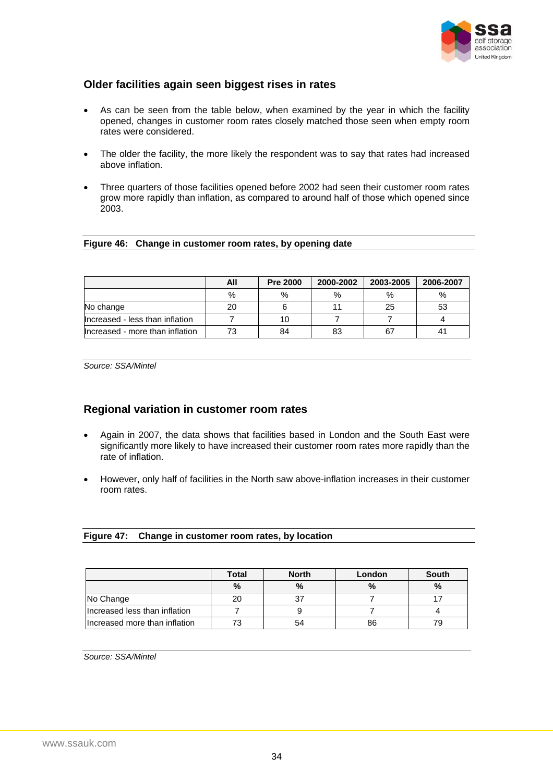

### <span id="page-35-0"></span>**Older facilities again seen biggest rises in rates**

- As can be seen from the table below, when examined by the year in which the facility opened, changes in customer room rates closely matched those seen when empty room rates were considered.
- The older the facility, the more likely the respondent was to say that rates had increased above inflation.
- Three quarters of those facilities opened before 2002 had seen their customer room rates grow more rapidly than inflation, as compared to around half of those which opened since 2003.

#### **Figure 46: Change in customer room rates, by opening date**

|                                 | All | <b>Pre 2000</b> | 2000-2002 | 2003-2005 | 2006-2007 |
|---------------------------------|-----|-----------------|-----------|-----------|-----------|
|                                 | %   | %               | %         | %         | $\%$      |
| No change                       | 20  |                 |           | 25        | 53        |
| Increased - less than inflation |     |                 |           |           |           |
| Increased - more than inflation |     | 84              | 83        | 67        |           |

*Source: SSA/Mintel* 

### **Regional variation in customer room rates**

- Again in 2007, the data shows that facilities based in London and the South East were significantly more likely to have increased their customer room rates more rapidly than the rate of inflation.
- However, only half of facilities in the North saw above-inflation increases in their customer room rates.

| Figure 47: Change in customer room rates, by location |  |  |
|-------------------------------------------------------|--|--|
|                                                       |  |  |

|                               | <b>Total</b> | <b>North</b> | London | <b>South</b>  |
|-------------------------------|--------------|--------------|--------|---------------|
|                               | $\%$         | $\%$         | $\%$   | $\frac{0}{0}$ |
| No Change                     | 20           |              |        |               |
| Increased less than inflation |              |              |        |               |
| Increased more than inflation |              | 54           | 86     | 79            |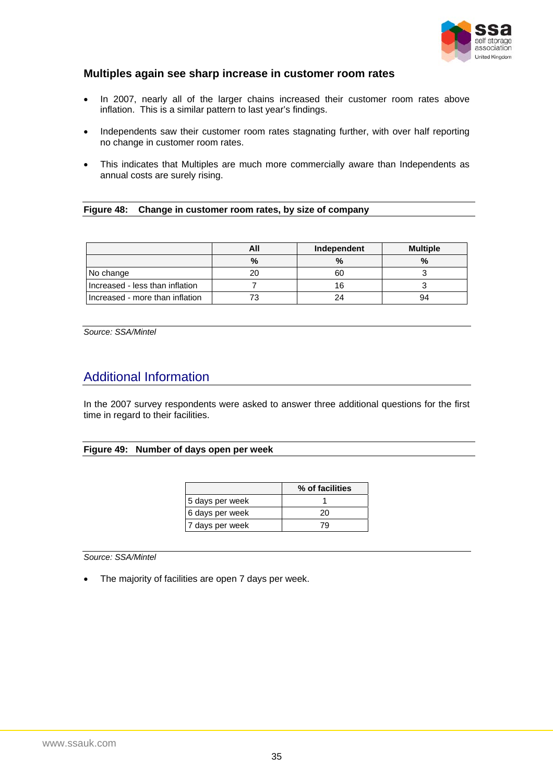

### <span id="page-36-0"></span>**Multiples again see sharp increase in customer room rates**

- In 2007, nearly all of the larger chains increased their customer room rates above inflation. This is a similar pattern to last year's findings.
- Independents saw their customer room rates stagnating further, with over half reporting no change in customer room rates.
- This indicates that Multiples are much more commercially aware than Independents as annual costs are surely rising.

**Figure 48: Change in customer room rates, by size of company** 

|                                 | All | Independent | <b>Multiple</b> |
|---------------------------------|-----|-------------|-----------------|
|                                 | %   | $\%$        | %               |
| No change                       | 20  | 60          |                 |
| Increased - less than inflation |     | 16          |                 |
| Increased - more than inflation |     | 24          | 94              |

*Source: SSA/Mintel* 

# Additional Information

In the 2007 survey respondents were asked to answer three additional questions for the first time in regard to their facilities.

#### **Figure 49: Number of days open per week**

|                 | % of facilities |
|-----------------|-----------------|
| 5 days per week |                 |
| 6 days per week | 20              |
| 7 days per week | 'u              |

*Source: SSA/Mintel* 

• The majority of facilities are open 7 days per week.